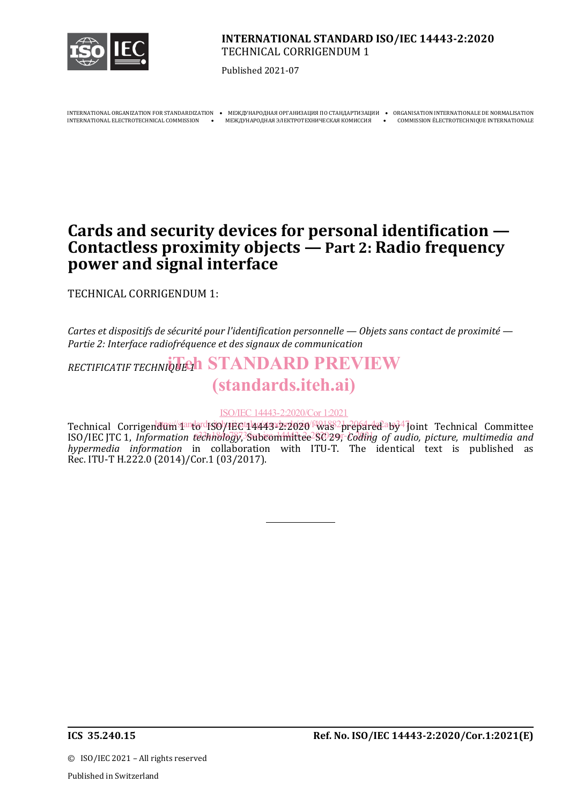

### **INTERNATIONAL STANDARD ISO/IEC 14443-2:2020** TECHNICAL CORRIGENDUM 1

Published 2021-07

INTERNATIONAL ORGANIZATION FOR STANDARDIZATION • МЕЖДУНАРОДНАЯ ОРГАНИЗАЦИЯ ПО СТАНДАРТИЗАЦИИ • ОRGANISATION INTERNATIONALE DE NORMALISATION • МЕЖДУНАРОДНАЯ ЭЛЕКТРОТЕХНИЧЕСКАЯ КОМИССИЯ • СОММISSION ÉLECTROTECHNIQUE INTERNA

MEЖДУНАРОДНАЯ ЭЛЕКТРОТЕХНИЧЕСКАЯ КОМИССИЯ • СОММISSION ÉLECTROTECHNIQUE INTERNATIONALE

# **Cards and security devices for personal identification — Contactless proximity objects — Part 2: Radio frequency power and signal interface**

TECHNICAL CORRIGENDUM 1:

*Cartes et dispositifs de sécurité pour l'identification personnelle — Objets sans contact de proximité — Partie 2: Interface radiofréquence et des signaux de communication*

RECTIFICATIF TECHNIQUE **1 STANDARD PREVIEW** (standards.iteh.ai)

ISO/IEC 14443-2:2020/Cor 1:2021

Technical Corrigendum standard 5071EC 14443-2:2020 <sup>HQ1882</sup> prepared a by <sup>4</sup>Joint Technical Committee ISO/IEC JTC 1, *Information technology*,<sup>3</sup>Subcommittee<sup>2</sup>SC 29, *Coding of audio, picture, multimedia and hypermedia information* in collaboration with ITU-T. The identical text is published as Rec. ITU-T H.222.0 (2014)/Cor.1 (03/2017).

.

©ISO/IEC 2021 – All rights reserved